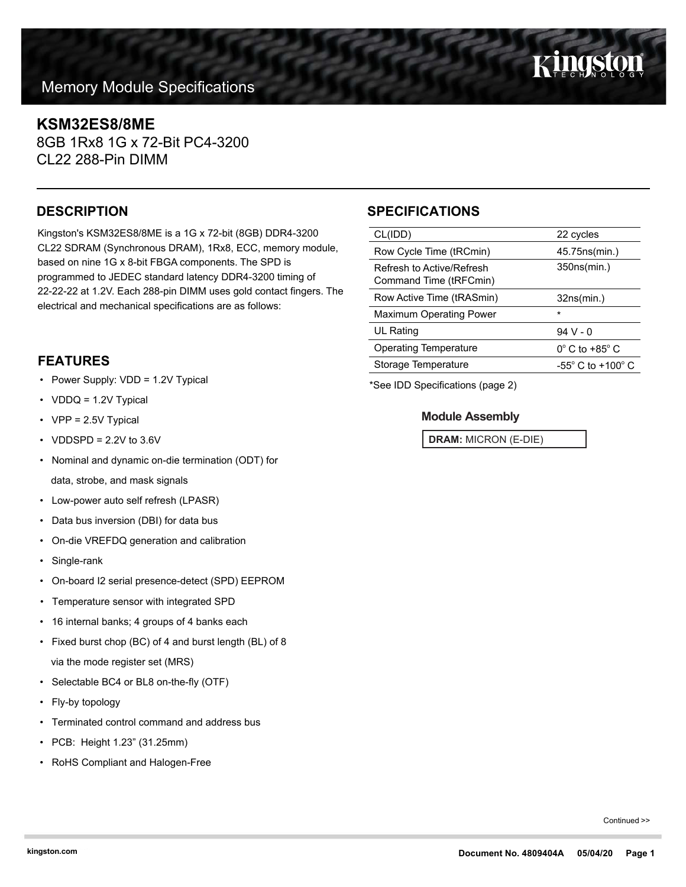## **Memory Module Specifications**

### **KSM32ES8/8ME**

8GB 1Rx8 1G x 72-Bit PC4-3200 CL22 288-Pin DIMM

Kingston's KSM32ES8/8ME is a 1G x 72-bit (8GB) DDR4-3200 CL22 SDRAM (Synchronous DRAM), 1Rx8, ECC, memory module, based on nine 1G x 8-bit FBGA components. The SPD is programmed to JEDEC standard latency DDR4-3200 timing of 22-22-22 at 1.2V. Each 288-pin DIMM uses gold contact fingers. The electrical and mechanical specifications are as follows:

#### **FEATURES**

- Power Supply: VDD = 1.2V Typical
- VDDQ = 1.2V Typical
- VPP = 2.5V Typical
- VDDSPD =  $2.2V$  to  $3.6V$
- Nominal and dynamic on-die termination (ODT) for data, strobe, and mask signals
- Low-power auto self refresh (LPASR)
- Data bus inversion (DBI) for data bus
- On-die VREFDQ generation and calibration
- Single-rank
- On-board I2 serial presence-detect (SPD) EEPROM
- Temperature sensor with integrated SPD
- 16 internal banks; 4 groups of 4 banks each
- Fixed burst chop (BC) of 4 and burst length (BL) of 8 via the mode register set (MRS)
- Selectable BC4 or BL8 on-the-fly (OTF)
- Fly-by topology
- Terminated control command and address bus
- PCB: Height 1.23" (31.25mm)
- RoHS Compliant and Halogen-Free

## **DESCRIPTION SPECIFICATIONS**

| CL(IDD)                                             | 22 cycles                           |  |
|-----------------------------------------------------|-------------------------------------|--|
| Row Cycle Time (tRCmin)                             | 45.75ns(min.)                       |  |
| Refresh to Active/Refresh<br>Command Time (tRFCmin) | 350ns(min.)                         |  |
| Row Active Time (tRASmin)                           | 32ns(min.)                          |  |
| Maximum Operating Power                             | $\star$                             |  |
| UL Rating                                           | $94V - 0$                           |  |
| <b>Operating Temperature</b>                        | $0^\circ$ C to +85 $^\circ$ C       |  |
| Storage Temperature                                 | $-55^{\circ}$ C to $+100^{\circ}$ C |  |
|                                                     |                                     |  |

\*See IDD Specifications (page 2)

#### **Module Assembly**

**DRAM:** MICRON (E-DIE)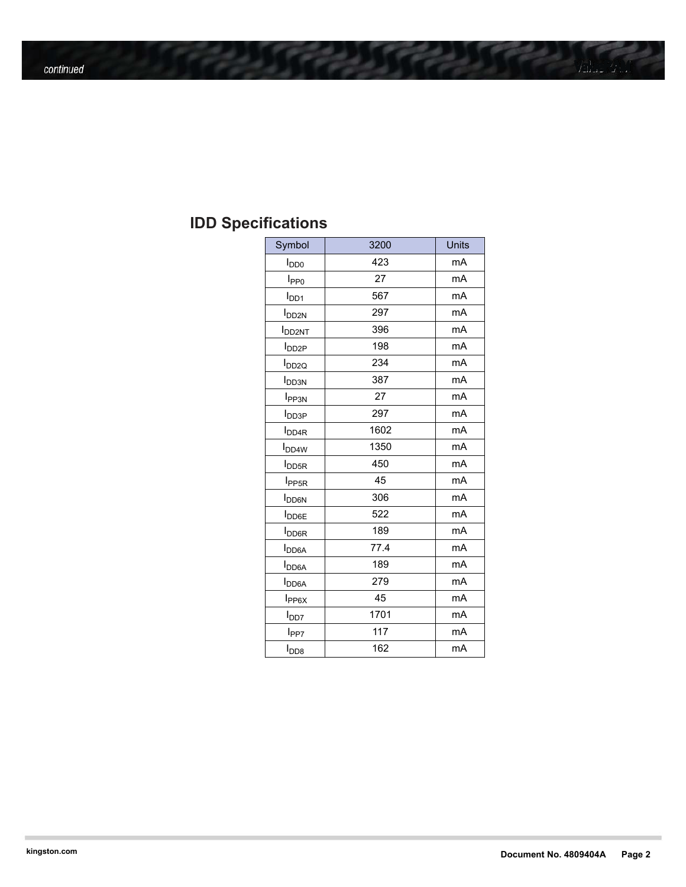# **IDD Specifications**

| Symbol                    | 3200 | <b>Units</b> |
|---------------------------|------|--------------|
| $I_{DD0}$                 | 423  | mA           |
| I <sub>PP0</sub>          | 27   | mA           |
| I <sub>DD1</sub>          | 567  | mA           |
| I <sub>DD2N</sub>         | 297  | mA           |
| <b>I</b> DD2NT            | 396  | mA           |
| <b>I</b> DD <sub>2P</sub> | 198  | mA           |
| <b>I</b> <sub>DD2Q</sub>  | 234  | mA           |
| <b>I</b> <sub>DD3N</sub>  | 387  | mA           |
| I <sub>PP3N</sub>         | 27   | mA           |
| <b>I</b> <sub>DD3P</sub>  | 297  | mA           |
| <b>I</b> <sub>DD4R</sub>  | 1602 | mA           |
| <b>I</b> <sub>DD4W</sub>  | 1350 | mA           |
| <b>I</b> <sub>DD5R</sub>  | 450  | mA           |
| I <sub>PP5R</sub>         | 45   | mA           |
| <b>I</b> <sub>DD6N</sub>  | 306  | mA           |
| <b>I</b> <sub>DD6E</sub>  | 522  | mA           |
| I <sub>DO6R</sub>         | 189  | mA           |
| <b>I</b> <sub>DD6A</sub>  | 77.4 | mA           |
| <b>I</b> DD6A             | 189  | mA           |
| I <sub>DD6A</sub>         | 279  | mA           |
| $I_{PP6X}$                | 45   | mA           |
| l <sub>DD7</sub>          | 1701 | mA           |
| l <sub>PP7</sub>          | 117  | mA           |
| $I_{\text{DD8}}$          | 162  | mA           |